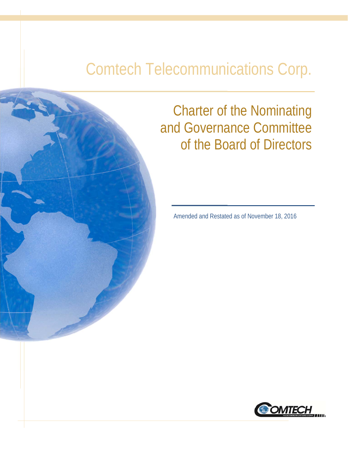# Comtech Telecommunications Corp.



Charter of the Nominating and Governance Committee of the Board of Directors

Amended and Restated as of November 18, 2016

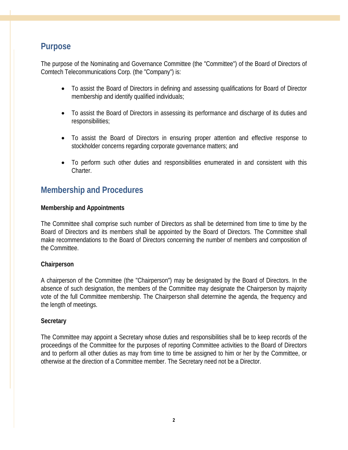# **Purpose**

The purpose of the Nominating and Governance Committee (the "Committee") of the Board of Directors of Comtech Telecommunications Corp. (the "Company") is:

- To assist the Board of Directors in defining and assessing qualifications for Board of Director membership and identify qualified individuals;
- To assist the Board of Directors in assessing its performance and discharge of its duties and responsibilities;
- To assist the Board of Directors in ensuring proper attention and effective response to stockholder concerns regarding corporate governance matters; and
- To perform such other duties and responsibilities enumerated in and consistent with this Charter.

# **Membership and Procedures**

# **Membership and Appointments**

The Committee shall comprise such number of Directors as shall be determined from time to time by the Board of Directors and its members shall be appointed by the Board of Directors. The Committee shall make recommendations to the Board of Directors concerning the number of members and composition of the Committee.

# **Chairperson**

A chairperson of the Committee (the "Chairperson") may be designated by the Board of Directors. In the absence of such designation, the members of the Committee may designate the Chairperson by majority vote of the full Committee membership. The Chairperson shall determine the agenda, the frequency and the length of meetings.

# **Secretary**

The Committee may appoint a Secretary whose duties and responsibilities shall be to keep records of the proceedings of the Committee for the purposes of reporting Committee activities to the Board of Directors and to perform all other duties as may from time to time be assigned to him or her by the Committee, or otherwise at the direction of a Committee member. The Secretary need not be a Director.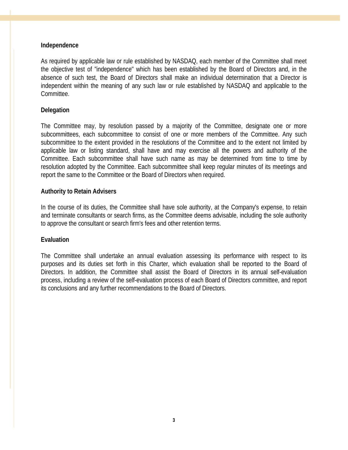#### **Independence**

As required by applicable law or rule established by NASDAQ, each member of the Committee shall meet the objective test of "independence" which has been established by the Board of Directors and, in the absence of such test, the Board of Directors shall make an individual determination that a Director is independent within the meaning of any such law or rule established by NASDAQ and applicable to the Committee.

#### **Delegation**

The Committee may, by resolution passed by a majority of the Committee, designate one or more subcommittees, each subcommittee to consist of one or more members of the Committee. Any such subcommittee to the extent provided in the resolutions of the Committee and to the extent not limited by applicable law or listing standard, shall have and may exercise all the powers and authority of the Committee. Each subcommittee shall have such name as may be determined from time to time by resolution adopted by the Committee. Each subcommittee shall keep regular minutes of its meetings and report the same to the Committee or the Board of Directors when required.

#### **Authority to Retain Advisers**

In the course of its duties, the Committee shall have sole authority, at the Company's expense, to retain and terminate consultants or search firms, as the Committee deems advisable, including the sole authority to approve the consultant or search firm's fees and other retention terms.

#### **Evaluation**

The Committee shall undertake an annual evaluation assessing its performance with respect to its purposes and its duties set forth in this Charter, which evaluation shall be reported to the Board of Directors. In addition, the Committee shall assist the Board of Directors in its annual self-evaluation process, including a review of the self-evaluation process of each Board of Directors committee, and report its conclusions and any further recommendations to the Board of Directors.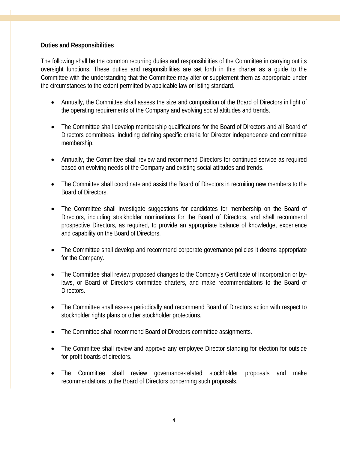### **Duties and Responsibilities**

The following shall be the common recurring duties and responsibilities of the Committee in carrying out its oversight functions. These duties and responsibilities are set forth in this charter as a guide to the Committee with the understanding that the Committee may alter or supplement them as appropriate under the circumstances to the extent permitted by applicable law or listing standard.

- Annually, the Committee shall assess the size and composition of the Board of Directors in light of the operating requirements of the Company and evolving social attitudes and trends.
- The Committee shall develop membership qualifications for the Board of Directors and all Board of Directors committees, including defining specific criteria for Director independence and committee membership.
- Annually, the Committee shall review and recommend Directors for continued service as required based on evolving needs of the Company and existing social attitudes and trends.
- The Committee shall coordinate and assist the Board of Directors in recruiting new members to the Board of Directors.
- The Committee shall investigate suggestions for candidates for membership on the Board of Directors, including stockholder nominations for the Board of Directors, and shall recommend prospective Directors, as required, to provide an appropriate balance of knowledge, experience and capability on the Board of Directors.
- The Committee shall develop and recommend corporate governance policies it deems appropriate for the Company.
- The Committee shall review proposed changes to the Company's Certificate of Incorporation or bylaws, or Board of Directors committee charters, and make recommendations to the Board of Directors.
- The Committee shall assess periodically and recommend Board of Directors action with respect to stockholder rights plans or other stockholder protections.
- The Committee shall recommend Board of Directors committee assignments.
- The Committee shall review and approve any employee Director standing for election for outside for-profit boards of directors.
- The Committee shall review governance-related stockholder proposals and make recommendations to the Board of Directors concerning such proposals.